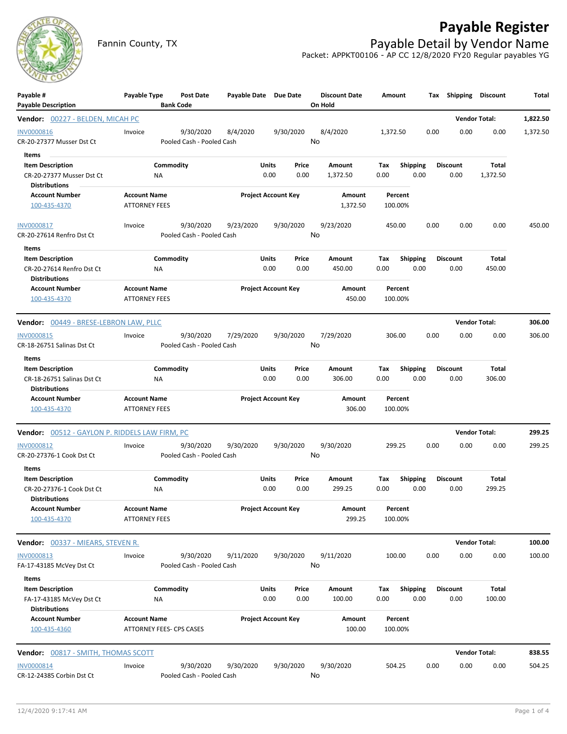

## **Payable Register**

Fannin County, TX **Payable Detail by Vendor Name** Packet: APPKT00106 - AP CC 12/8/2020 FY20 Regular payables YG

| Payable #<br><b>Payable Description</b>                                      | Payable Type                                    | <b>Bank Code</b> | Post Date                              | Payable Date Due Date      |                            |                    | <b>Discount Date</b><br>On Hold | Amount      |                 |      | Tax Shipping Discount   |                      | Total    |
|------------------------------------------------------------------------------|-------------------------------------------------|------------------|----------------------------------------|----------------------------|----------------------------|--------------------|---------------------------------|-------------|-----------------|------|-------------------------|----------------------|----------|
| Vendor: 00227 - BELDEN, MICAH PC                                             |                                                 |                  |                                        |                            |                            |                    |                                 |             |                 |      |                         | <b>Vendor Total:</b> | 1,822.50 |
| <b>INV0000816</b><br>CR-20-27377 Musser Dst Ct                               | Invoice                                         |                  | 9/30/2020<br>Pooled Cash - Pooled Cash | 8/4/2020                   |                            | 9/30/2020          | 8/4/2020<br>No                  | 1,372.50    |                 | 0.00 | 0.00                    | 0.00                 | 1,372.50 |
| Items                                                                        |                                                 |                  |                                        |                            |                            |                    |                                 |             |                 |      |                         |                      |          |
| <b>Item Description</b><br>CR-20-27377 Musser Dst Ct<br><b>Distributions</b> |                                                 | Commodity<br>ΝA  |                                        |                            | Units<br>0.00              | Price<br>0.00      | Amount<br>1,372.50              | Тах<br>0.00 | <b>Shipping</b> | 0.00 | <b>Discount</b><br>0.00 | Total<br>1,372.50    |          |
| <b>Account Number</b><br>100-435-4370                                        | <b>Account Name</b><br><b>ATTORNEY FEES</b>     |                  |                                        | <b>Project Account Key</b> |                            | Amount<br>1,372.50 | Percent<br>100.00%              |             |                 |      |                         |                      |          |
| INV0000817<br>CR-20-27614 Renfro Dst Ct                                      | Invoice                                         |                  | 9/30/2020<br>Pooled Cash - Pooled Cash | 9/23/2020                  |                            | 9/30/2020          | 9/23/2020<br>No                 | 450.00      |                 | 0.00 | 0.00                    | 0.00                 | 450.00   |
| Items                                                                        |                                                 |                  |                                        |                            |                            |                    |                                 |             |                 |      |                         |                      |          |
| <b>Item Description</b>                                                      |                                                 | Commodity        |                                        |                            | Units                      | Price              | Amount                          | Tax         | <b>Shipping</b> |      | <b>Discount</b>         | Total                |          |
| CR-20-27614 Renfro Dst Ct<br><b>Distributions</b>                            |                                                 | ΝA               |                                        |                            | 0.00                       | 0.00               | 450.00                          | 0.00        |                 | 0.00 | 0.00                    | 450.00               |          |
| <b>Account Number</b><br>100-435-4370                                        | <b>Account Name</b><br><b>ATTORNEY FEES</b>     |                  |                                        |                            | <b>Project Account Key</b> |                    | Amount<br>450.00                | 100.00%     | Percent         |      |                         |                      |          |
| Vendor: 00449 - BRESE-LEBRON LAW, PLLC                                       |                                                 |                  |                                        |                            |                            |                    |                                 |             |                 |      |                         | <b>Vendor Total:</b> | 306.00   |
| <b>INV0000815</b>                                                            | Invoice                                         |                  | 9/30/2020                              | 7/29/2020                  |                            | 9/30/2020          | 7/29/2020                       | 306.00      |                 | 0.00 | 0.00                    | 0.00                 | 306.00   |
| CR-18-26751 Salinas Dst Ct                                                   |                                                 |                  | Pooled Cash - Pooled Cash              |                            |                            |                    | No                              |             |                 |      |                         |                      |          |
| Items<br><b>Item Description</b>                                             |                                                 | Commodity        |                                        |                            | Units                      | Price              | Amount                          | Tax         | <b>Shipping</b> |      | <b>Discount</b>         | Total                |          |
| CR-18-26751 Salinas Dst Ct<br><b>Distributions</b>                           |                                                 | ΝA               |                                        |                            | 0.00                       | 0.00               | 306.00                          | 0.00        |                 | 0.00 | 0.00                    | 306.00               |          |
| <b>Account Number</b><br>100-435-4370                                        | <b>Account Name</b><br><b>ATTORNEY FEES</b>     |                  |                                        |                            | <b>Project Account Key</b> |                    | Amount<br>306.00                | 100.00%     | Percent         |      |                         |                      |          |
| <b>Vendor:</b> 00512 - GAYLON P. RIDDELS LAW FIRM, PC                        |                                                 |                  |                                        |                            |                            |                    |                                 |             |                 |      |                         | <b>Vendor Total:</b> | 299.25   |
| INV0000812                                                                   | Invoice                                         |                  | 9/30/2020                              | 9/30/2020                  |                            | 9/30/2020          | 9/30/2020                       | 299.25      |                 | 0.00 | 0.00                    | 0.00                 | 299.25   |
| CR-20-27376-1 Cook Dst Ct                                                    |                                                 |                  | Pooled Cash - Pooled Cash              |                            |                            |                    | No                              |             |                 |      |                         |                      |          |
| Items<br><b>Item Description</b>                                             |                                                 | Commodity        |                                        |                            | Units                      | Price              | Amount                          | Tax         |                 |      | <b>Discount</b>         | Total                |          |
| CR-20-27376-1 Cook Dst Ct<br><b>Distributions</b>                            |                                                 | ΝA               |                                        |                            | 0.00                       | 0.00               | 299.25                          | 0.00        | <b>Shipping</b> | 0.00 | 0.00                    | 299.25               |          |
| <b>Account Number</b><br>100-435-4370                                        | <b>Account Name</b><br><b>ATTORNEY FEES</b>     |                  |                                        |                            | <b>Project Account Key</b> |                    | Amount<br>299.25                | 100.00%     | Percent         |      |                         |                      |          |
| Vendor: 00337 - MIEARS, STEVEN R.                                            |                                                 |                  |                                        |                            |                            |                    |                                 |             |                 |      |                         | <b>Vendor Total:</b> | 100.00   |
| INV0000813<br>FA-17-43185 McVey Dst Ct                                       | Invoice                                         |                  | 9/30/2020<br>Pooled Cash - Pooled Cash | 9/11/2020                  |                            | 9/30/2020          | 9/11/2020<br>No                 | 100.00      |                 | 0.00 | 0.00                    | 0.00                 | 100.00   |
| Items                                                                        |                                                 |                  |                                        |                            |                            |                    |                                 |             |                 |      |                         |                      |          |
| <b>Item Description</b><br>FA-17-43185 McVey Dst Ct<br><b>Distributions</b>  |                                                 | Commodity<br>NA  |                                        |                            | Units<br>0.00              | Price<br>0.00      | Amount<br>100.00                | Tax<br>0.00 | Shipping        | 0.00 | <b>Discount</b><br>0.00 | Total<br>100.00      |          |
| <b>Account Number</b><br>100-435-4360                                        | <b>Account Name</b><br>ATTORNEY FEES- CPS CASES |                  |                                        |                            | <b>Project Account Key</b> |                    | Amount<br>100.00                | 100.00%     | Percent         |      |                         |                      |          |
| <b>Vendor: 00817 - SMITH, THOMAS SCOTT</b>                                   |                                                 |                  |                                        |                            |                            |                    |                                 |             |                 |      |                         | <b>Vendor Total:</b> | 838.55   |
| <b>INV0000814</b><br>CR-12-24385 Corbin Dst Ct                               | Invoice                                         |                  | 9/30/2020<br>Pooled Cash - Pooled Cash | 9/30/2020                  |                            | 9/30/2020          | 9/30/2020<br>No                 | 504.25      |                 | 0.00 | 0.00                    | 0.00                 | 504.25   |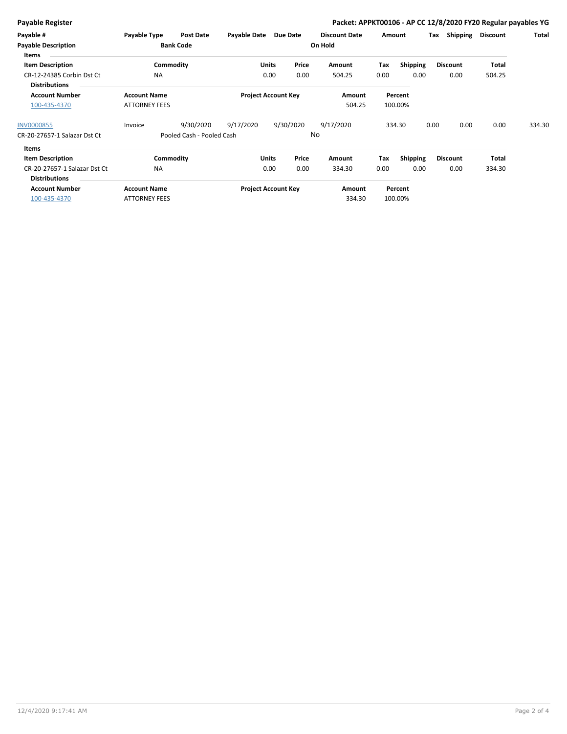| <b>Payable Register</b>                              |                                             |                           |                            |       |           | Packet: APPKT00106 - AP CC 12/8/2020 FY20 Regular payables YG |        |                    |      |                 |                 |        |
|------------------------------------------------------|---------------------------------------------|---------------------------|----------------------------|-------|-----------|---------------------------------------------------------------|--------|--------------------|------|-----------------|-----------------|--------|
| Payable #                                            | Payable Type                                | <b>Post Date</b>          | Payable Date               |       | Due Date  | <b>Discount Date</b>                                          | Amount |                    | Tax  | Shipping        | <b>Discount</b> | Total  |
| <b>Payable Description</b><br>Items                  |                                             | <b>Bank Code</b>          |                            |       |           | On Hold                                                       |        |                    |      |                 |                 |        |
| <b>Item Description</b>                              |                                             | Commodity                 |                            | Units | Price     | Amount                                                        | Tax    | <b>Shipping</b>    |      | <b>Discount</b> | Total           |        |
| CR-12-24385 Corbin Dst Ct<br><b>Distributions</b>    | <b>NA</b>                                   |                           |                            | 0.00  | 0.00      | 504.25                                                        | 0.00   | 0.00               |      | 0.00            | 504.25          |        |
| <b>Account Number</b><br>100-435-4370                | <b>Account Name</b><br><b>ATTORNEY FEES</b> |                           | <b>Project Account Key</b> |       |           | Amount<br>504.25                                              |        | Percent<br>100.00% |      |                 |                 |        |
| <b>INV0000855</b>                                    | Invoice                                     | 9/30/2020                 | 9/17/2020                  |       | 9/30/2020 | 9/17/2020                                                     |        | 334.30             | 0.00 | 0.00            | 0.00            | 334.30 |
| CR-20-27657-1 Salazar Dst Ct                         |                                             | Pooled Cash - Pooled Cash |                            |       |           | No                                                            |        |                    |      |                 |                 |        |
| <b>Items</b>                                         |                                             |                           |                            |       |           |                                                               |        |                    |      |                 |                 |        |
| <b>Item Description</b>                              |                                             | Commodity                 |                            | Units | Price     | Amount                                                        | Tax    | <b>Shipping</b>    |      | <b>Discount</b> | <b>Total</b>    |        |
| CR-20-27657-1 Salazar Dst Ct<br><b>Distributions</b> | <b>NA</b>                                   |                           |                            | 0.00  | 0.00      | 334.30                                                        | 0.00   | 0.00               |      | 0.00            | 334.30          |        |
| <b>Account Number</b><br>100-435-4370                | <b>Account Name</b><br><b>ATTORNEY FEES</b> |                           | <b>Project Account Key</b> |       |           | Amount<br>334.30                                              |        | Percent<br>100.00% |      |                 |                 |        |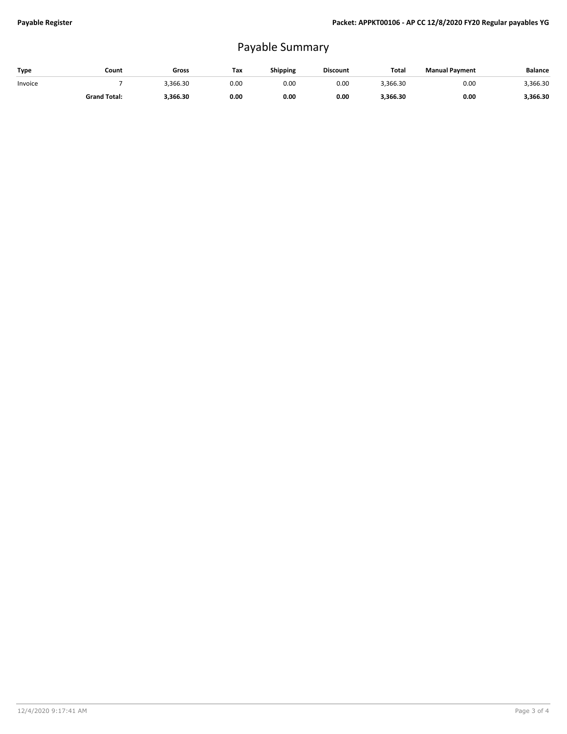## Payable Summary

| Type    | Count               | Gross    | Tax  | Shipping | <b>Discount</b> | Total    | <b>Manual Payment</b> | Balance  |
|---------|---------------------|----------|------|----------|-----------------|----------|-----------------------|----------|
| Invoice |                     | 3.366.30 | 0.00 | 0.00     | 0.00            | 3,366.30 | 0.00                  | 3,366.30 |
|         | <b>Grand Total:</b> | 3,366.30 | 0.00 | 0.00     | 0.00            | 3,366.30 | 0.00                  | 3,366.30 |